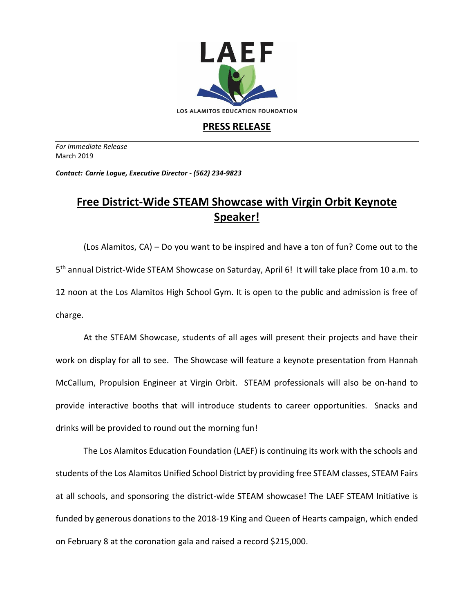

## **PRESS RELEASE**

*For Immediate Release*  March 2019

*Contact: Carrie Logue, Executive Director - (562) 234-9823*

## **Free District-Wide STEAM Showcase with Virgin Orbit Keynote Speaker!**

(Los Alamitos, CA) – Do you want to be inspired and have a ton of fun? Come out to the 5<sup>th</sup> annual District-Wide STEAM Showcase on Saturday, April 6! It will take place from 10 a.m. to 12 noon at the Los Alamitos High School Gym. It is open to the public and admission is free of charge.

At the STEAM Showcase, students of all ages will present their projects and have their work on display for all to see. The Showcase will feature a keynote presentation from Hannah McCallum, Propulsion Engineer at Virgin Orbit. STEAM professionals will also be on-hand to provide interactive booths that will introduce students to career opportunities. Snacks and drinks will be provided to round out the morning fun!

The Los Alamitos Education Foundation (LAEF) is continuing its work with the schools and students of the Los Alamitos Unified School District by providing free STEAM classes, STEAM Fairs at all schools, and sponsoring the district-wide STEAM showcase! The LAEF STEAM Initiative is funded by generous donations to the 2018-19 King and Queen of Hearts campaign, which ended on February 8 at the coronation gala and raised a record \$215,000.